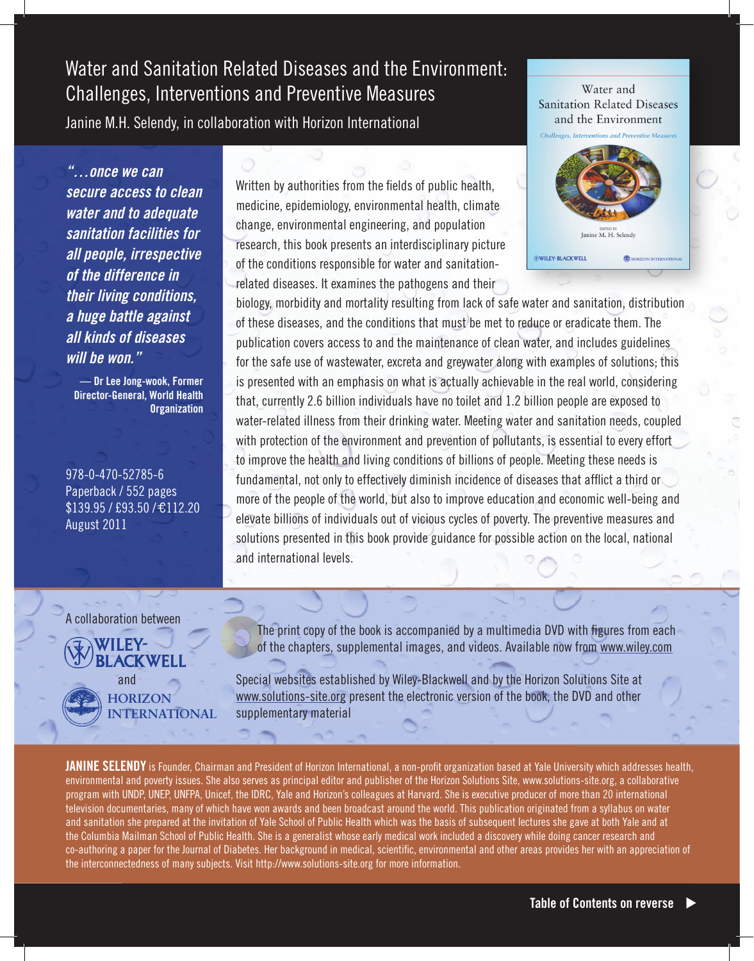# Water and Sanitation Related Diseases and the Environment: Challenges, Interventions and Preventive Measures

Janine M.H. Selendy, in collaboration with Horizon International

l

*"…once we can secure access to clean water and to adequate sanitation facilities for all people, irrespective of the difference in their living conditions, a huge battle against all kinds of diseases will be won."*

**— Dr Lee Jong-wook, Former Director-General, World Health Organization**

978-0-470-52785-6 Paperback / 552 pages  $$139.95 / £93.50 / £112.20$ August 2011

A collaboration between

# **ACKWEL**

 and **Horizon International** Written by authorities from the fields of public health, medicine, epidemiology, environmental health, climate change, environmental engineering, and population research, this book presents an interdisciplinary picture of the conditions responsible for water and sanitationrelated diseases. It examines the pathogens and their

Water and **Sanitation Related Diseases** and the Environment



biology, morbidity and mortality resulting from lack of safe water and sanitation, distribution of these diseases, and the conditions that must be met to reduce or eradicate them. The publication covers access to and the maintenance of clean water, and includes guidelines for the safe use of wastewater, excreta and greywater along with examples of solutions; this is presented with an emphasis on what is actually achievable in the real world, considering that, currently 2.6 billion individuals have no toilet and 1.2 billion people are exposed to water-related illness from their drinking water. Meeting water and sanitation needs, coupled with protection of the environment and prevention of pollutants, is essential to every effort to improve the health and living conditions of billions of people. Meeting these needs is fundamental, not only to effectively diminish incidence of diseases that afflict a third or more of the people of the world, but also to improve education and economic well-being and elevate billions of individuals out of vicious cycles of poverty. The preventive measures and solutions presented in this book provide guidance for possible action on the local, national and international levels.

 The print copy of the book is accompanied by a multimedia DVD with figures from each of the chapters, supplemental images, and videos. Available now from www.wiley.com

Special websites established by Wiley-Blackwell and by the Horizon Solutions Site at www.solutions-site.org present the electronic version of the book, the DVD and other supplementary material

**Janine Selendy** is Founder, Chairman and President of Horizon International, a non-profit organization based at Yale University which addresses health, environmental and poverty issues. She also serves as principal editor and publisher of the Horizon Solutions Site, www.solutions-site.org, a collaborative program with UNDP, UNEP, UNFPA, Unicef, the IDRC, Yale and Horizon's colleagues at Harvard. She is executive producer of more than 20 international television documentaries, many of which have won awards and been broadcast around the world. This publication originated from a syllabus on water and sanitation she prepared at the invitation of Yale School of Public Health which was the basis of subsequent lectures she gave at both Yale and at the Columbia Mailman School of Public Health. She is a generalist whose early medical work included a discovery while doing cancer research and co-authoring a paper for the Journal of Diabetes. Her background in medical, scientific, environmental and other areas provides her with an appreciation of the interconnectedness of many subjects. Visit http://www.solutions-site.org for more information.